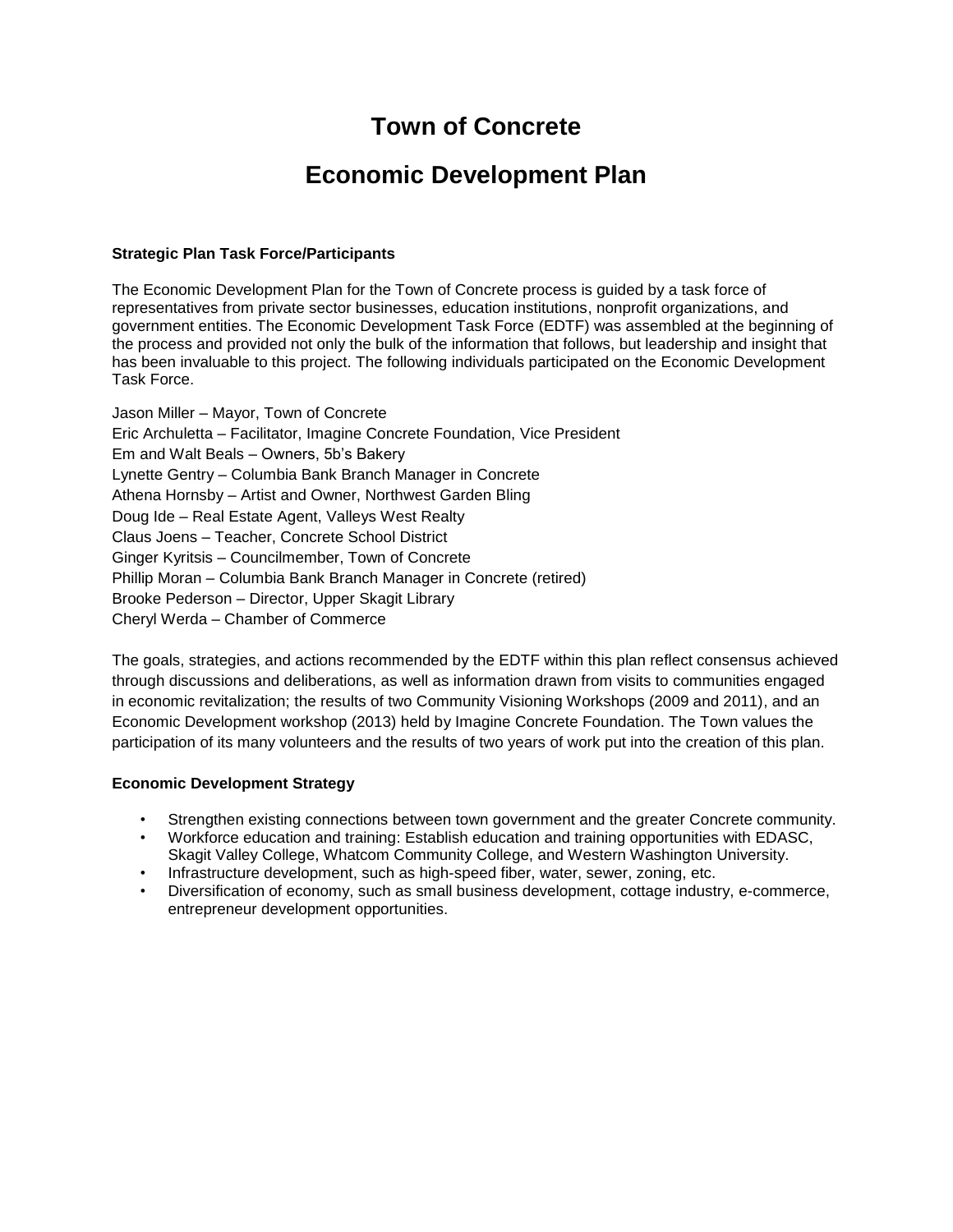# **Town of Concrete**

# **Economic Development Plan**

#### **Strategic Plan Task Force/Participants**

The Economic Development Plan for the Town of Concrete process is guided by a task force of representatives from private sector businesses, education institutions, nonprofit organizations, and government entities. The Economic Development Task Force (EDTF) was assembled at the beginning of the process and provided not only the bulk of the information that follows, but leadership and insight that has been invaluable to this project. The following individuals participated on the Economic Development Task Force.

Jason Miller – Mayor, Town of Concrete Eric Archuletta – Facilitator, Imagine Concrete Foundation, Vice President Em and Walt Beals – Owners, 5b's Bakery Lynette Gentry – Columbia Bank Branch Manager in Concrete Athena Hornsby – Artist and Owner, Northwest Garden Bling Doug Ide – Real Estate Agent, Valleys West Realty Claus Joens – Teacher, Concrete School District Ginger Kyritsis – Councilmember, Town of Concrete Phillip Moran – Columbia Bank Branch Manager in Concrete (retired) Brooke Pederson – Director, Upper Skagit Library Cheryl Werda – Chamber of Commerce

The goals, strategies, and actions recommended by the EDTF within this plan reflect consensus achieved through discussions and deliberations, as well as information drawn from visits to communities engaged in economic revitalization; the results of two Community Visioning Workshops (2009 and 2011), and an Economic Development workshop (2013) held by Imagine Concrete Foundation. The Town values the participation of its many volunteers and the results of two years of work put into the creation of this plan.

#### **Economic Development Strategy**

- Strengthen existing connections between town government and the greater Concrete community.
- Workforce education and training: Establish education and training opportunities with EDASC, Skagit Valley College, Whatcom Community College, and Western Washington University.
- Infrastructure development, such as high-speed fiber, water, sewer, zoning, etc.
- Diversification of economy, such as small business development, cottage industry, e-commerce, entrepreneur development opportunities.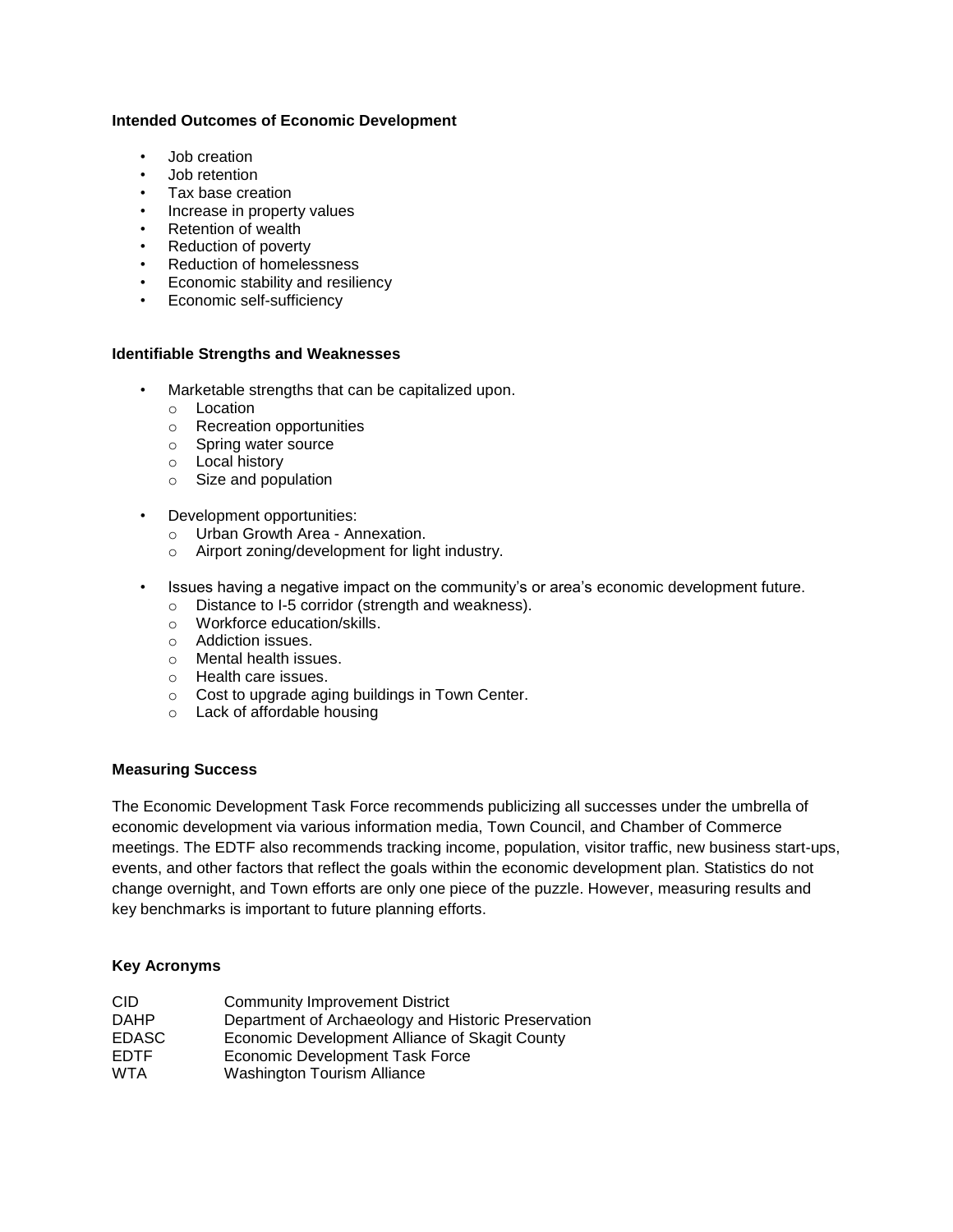### **Intended Outcomes of Economic Development**

- Job creation
- Job retention
- Tax base creation
- Increase in property values
- Retention of wealth
- Reduction of poverty
- Reduction of homelessness
- Economic stability and resiliency
- Economic self-sufficiency

#### **Identifiable Strengths and Weaknesses**

- Marketable strengths that can be capitalized upon.
	- o Location
	- o Recreation opportunities
	- o Spring water source
	- o Local history
	- o Size and population
- Development opportunities:
	- o Urban Growth Area Annexation.
	- o Airport zoning/development for light industry.
- Issues having a negative impact on the community's or area's economic development future.
	- o Distance to I-5 corridor (strength and weakness).
	- o Workforce education/skills.
	- o Addiction issues.
	- o Mental health issues.
	- o Health care issues.
	- o Cost to upgrade aging buildings in Town Center.
	- o Lack of affordable housing

### **Measuring Success**

The Economic Development Task Force recommends publicizing all successes under the umbrella of economic development via various information media, Town Council, and Chamber of Commerce meetings. The EDTF also recommends tracking income, population, visitor traffic, new business start-ups, events, and other factors that reflect the goals within the economic development plan. Statistics do not change overnight, and Town efforts are only one piece of the puzzle. However, measuring results and key benchmarks is important to future planning efforts.

## **Key Acronyms**

| <b>CID</b>   | <b>Community Improvement District</b>               |
|--------------|-----------------------------------------------------|
| <b>DAHP</b>  | Department of Archaeology and Historic Preservation |
| <b>EDASC</b> | Economic Development Alliance of Skagit County      |
| <b>EDTF</b>  | Economic Development Task Force                     |
| <b>WTA</b>   | <b>Washington Tourism Alliance</b>                  |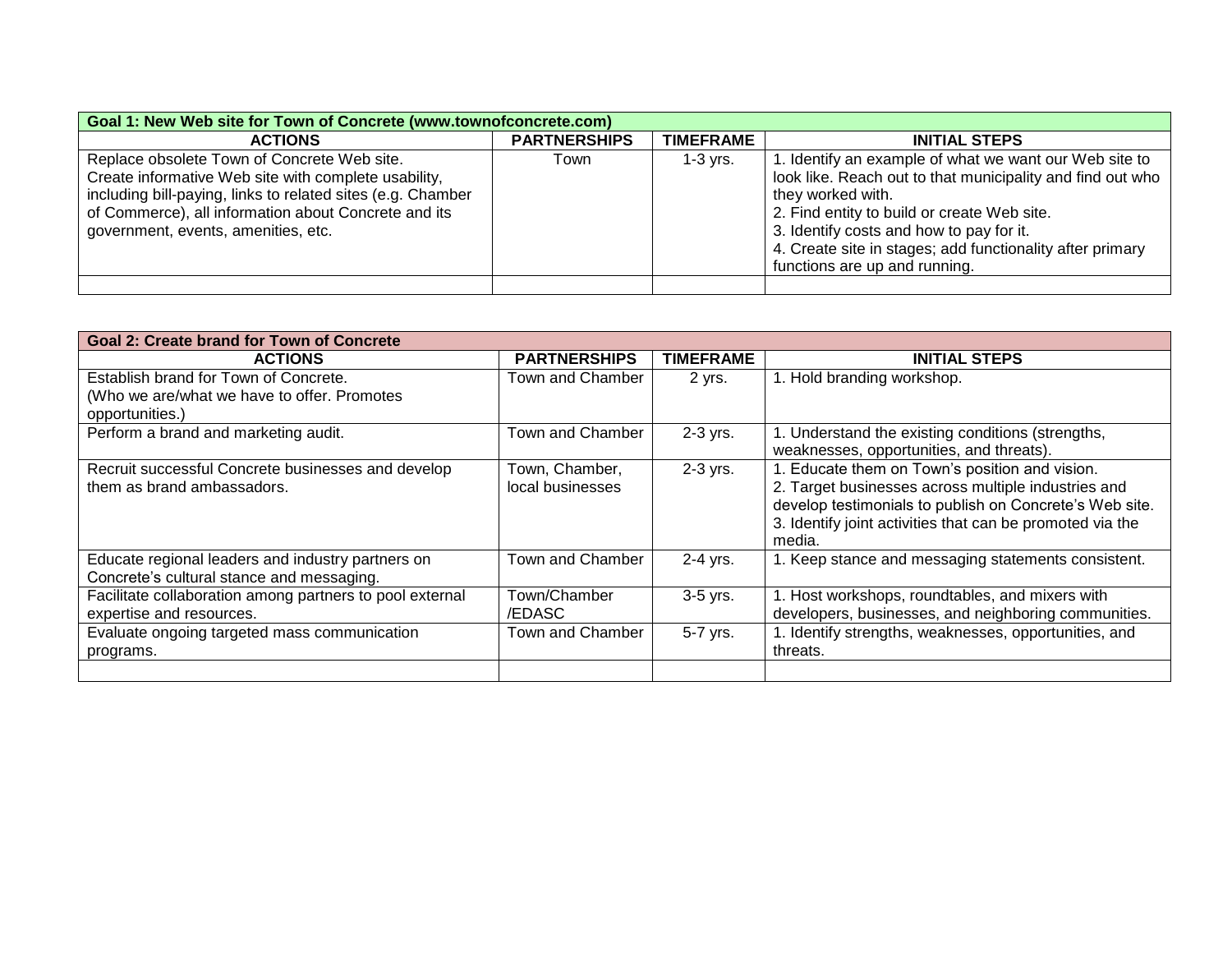| Goal 1: New Web site for Town of Concrete (www.townofconcrete.com)                                                                                                                                                                                                |                     |                  |                                                                                                                                                                                                                                                                                                                                    |  |
|-------------------------------------------------------------------------------------------------------------------------------------------------------------------------------------------------------------------------------------------------------------------|---------------------|------------------|------------------------------------------------------------------------------------------------------------------------------------------------------------------------------------------------------------------------------------------------------------------------------------------------------------------------------------|--|
| <b>ACTIONS</b>                                                                                                                                                                                                                                                    | <b>PARTNERSHIPS</b> | <b>TIMEFRAME</b> | <b>INITIAL STEPS</b>                                                                                                                                                                                                                                                                                                               |  |
| Replace obsolete Town of Concrete Web site.<br>Create informative Web site with complete usability,<br>including bill-paying, links to related sites (e.g. Chamber<br>of Commerce), all information about Concrete and its<br>government, events, amenities, etc. | Town                | $1-3$ yrs.       | 1. Identify an example of what we want our Web site to<br>look like. Reach out to that municipality and find out who<br>they worked with.<br>2. Find entity to build or create Web site.<br>3. Identify costs and how to pay for it.<br>4. Create site in stages; add functionality after primary<br>functions are up and running. |  |
|                                                                                                                                                                                                                                                                   |                     |                  |                                                                                                                                                                                                                                                                                                                                    |  |

| Goal 2: Create brand for Town of Concrete                |                     |                  |                                                           |
|----------------------------------------------------------|---------------------|------------------|-----------------------------------------------------------|
| <b>ACTIONS</b>                                           | <b>PARTNERSHIPS</b> | <b>TIMEFRAME</b> | <b>INITIAL STEPS</b>                                      |
| Establish brand for Town of Concrete.                    | Town and Chamber    | 2 yrs.           | 1. Hold branding workshop.                                |
| (Who we are/what we have to offer. Promotes              |                     |                  |                                                           |
| opportunities.)                                          |                     |                  |                                                           |
| Perform a brand and marketing audit.                     | Town and Chamber    | 2-3 yrs.         | 1. Understand the existing conditions (strengths,         |
|                                                          |                     |                  | weaknesses, opportunities, and threats).                  |
| Recruit successful Concrete businesses and develop       | Town, Chamber,      | $2-3$ yrs.       | 1. Educate them on Town's position and vision.            |
| them as brand ambassadors.                               | local businesses    |                  | 2. Target businesses across multiple industries and       |
|                                                          |                     |                  | develop testimonials to publish on Concrete's Web site.   |
|                                                          |                     |                  | 3. Identify joint activities that can be promoted via the |
|                                                          |                     |                  | media.                                                    |
| Educate regional leaders and industry partners on        | Town and Chamber    | $2-4$ yrs.       | 1. Keep stance and messaging statements consistent.       |
| Concrete's cultural stance and messaging.                |                     |                  |                                                           |
| Facilitate collaboration among partners to pool external | Town/Chamber        | 3-5 yrs.         | 1. Host workshops, roundtables, and mixers with           |
| expertise and resources.                                 | /EDASC              |                  | developers, businesses, and neighboring communities.      |
| Evaluate ongoing targeted mass communication             | Town and Chamber    | 5-7 yrs.         | 1. Identify strengths, weaknesses, opportunities, and     |
| programs.                                                |                     |                  | threats.                                                  |
|                                                          |                     |                  |                                                           |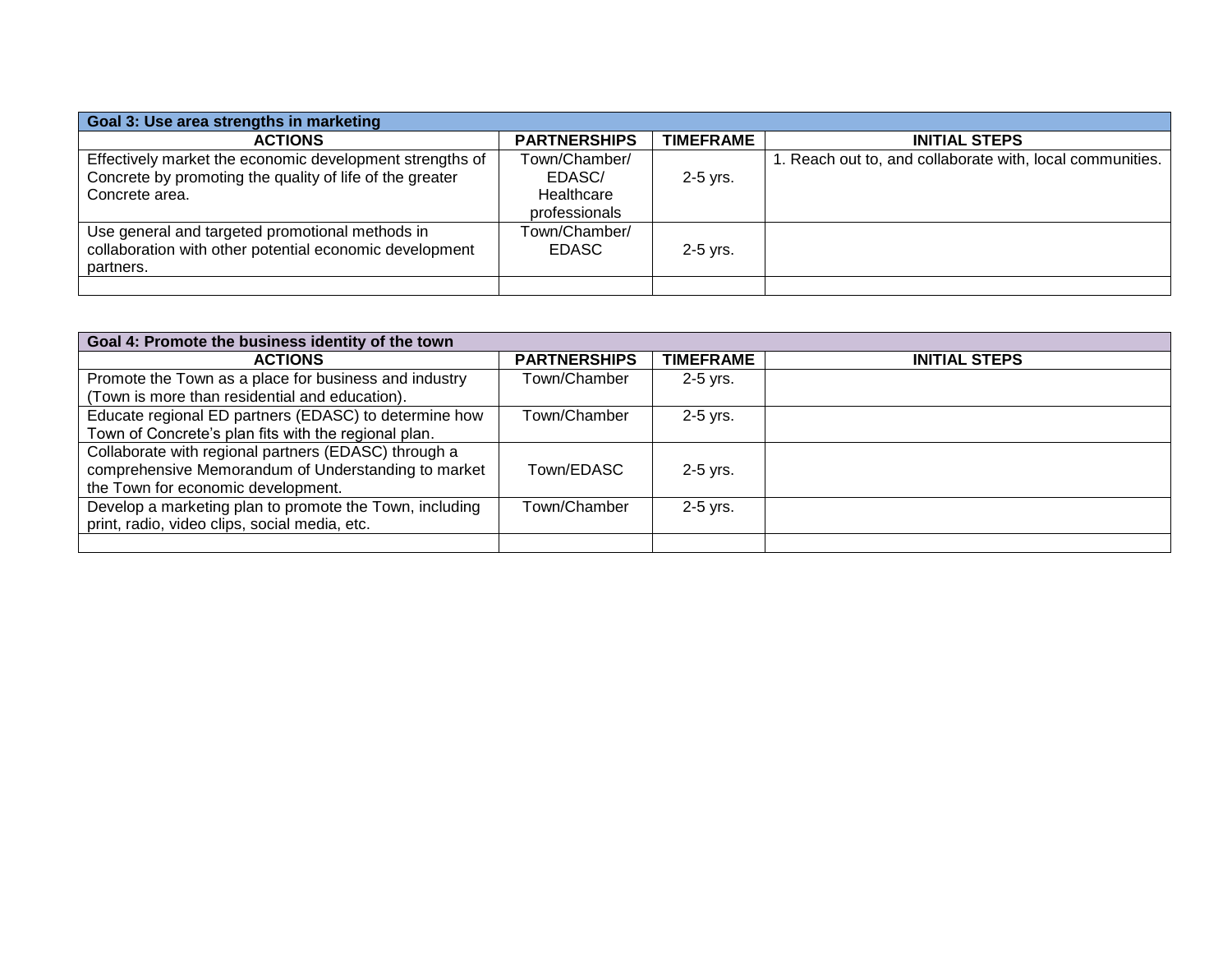| Goal 3: Use area strengths in marketing                  |                     |                  |                                                           |
|----------------------------------------------------------|---------------------|------------------|-----------------------------------------------------------|
| <b>ACTIONS</b>                                           | <b>PARTNERSHIPS</b> | <b>TIMEFRAME</b> | <b>INITIAL STEPS</b>                                      |
| Effectively market the economic development strengths of | Town/Chamber/       |                  | 1. Reach out to, and collaborate with, local communities. |
| Concrete by promoting the quality of life of the greater | EDASC/              | $2-5$ yrs.       |                                                           |
| Concrete area.                                           | Healthcare          |                  |                                                           |
|                                                          | professionals       |                  |                                                           |
| Use general and targeted promotional methods in          | Town/Chamber/       |                  |                                                           |
| collaboration with other potential economic development  | EDASC.              | $2-5$ yrs.       |                                                           |
| partners.                                                |                     |                  |                                                           |
|                                                          |                     |                  |                                                           |

| Goal 4: Promote the business identity of the town       |                     |                  |                      |
|---------------------------------------------------------|---------------------|------------------|----------------------|
| <b>ACTIONS</b>                                          | <b>PARTNERSHIPS</b> | <b>TIMEFRAME</b> | <b>INITIAL STEPS</b> |
| Promote the Town as a place for business and industry   | Town/Chamber        | $2-5$ yrs.       |                      |
| (Town is more than residential and education).          |                     |                  |                      |
| Educate regional ED partners (EDASC) to determine how   | Town/Chamber        | $2-5$ yrs.       |                      |
| Town of Concrete's plan fits with the regional plan.    |                     |                  |                      |
| Collaborate with regional partners (EDASC) through a    |                     |                  |                      |
| comprehensive Memorandum of Understanding to market     | Town/EDASC          | $2-5$ yrs.       |                      |
| the Town for economic development.                      |                     |                  |                      |
| Develop a marketing plan to promote the Town, including | Town/Chamber        | $2-5$ yrs.       |                      |
| print, radio, video clips, social media, etc.           |                     |                  |                      |
|                                                         |                     |                  |                      |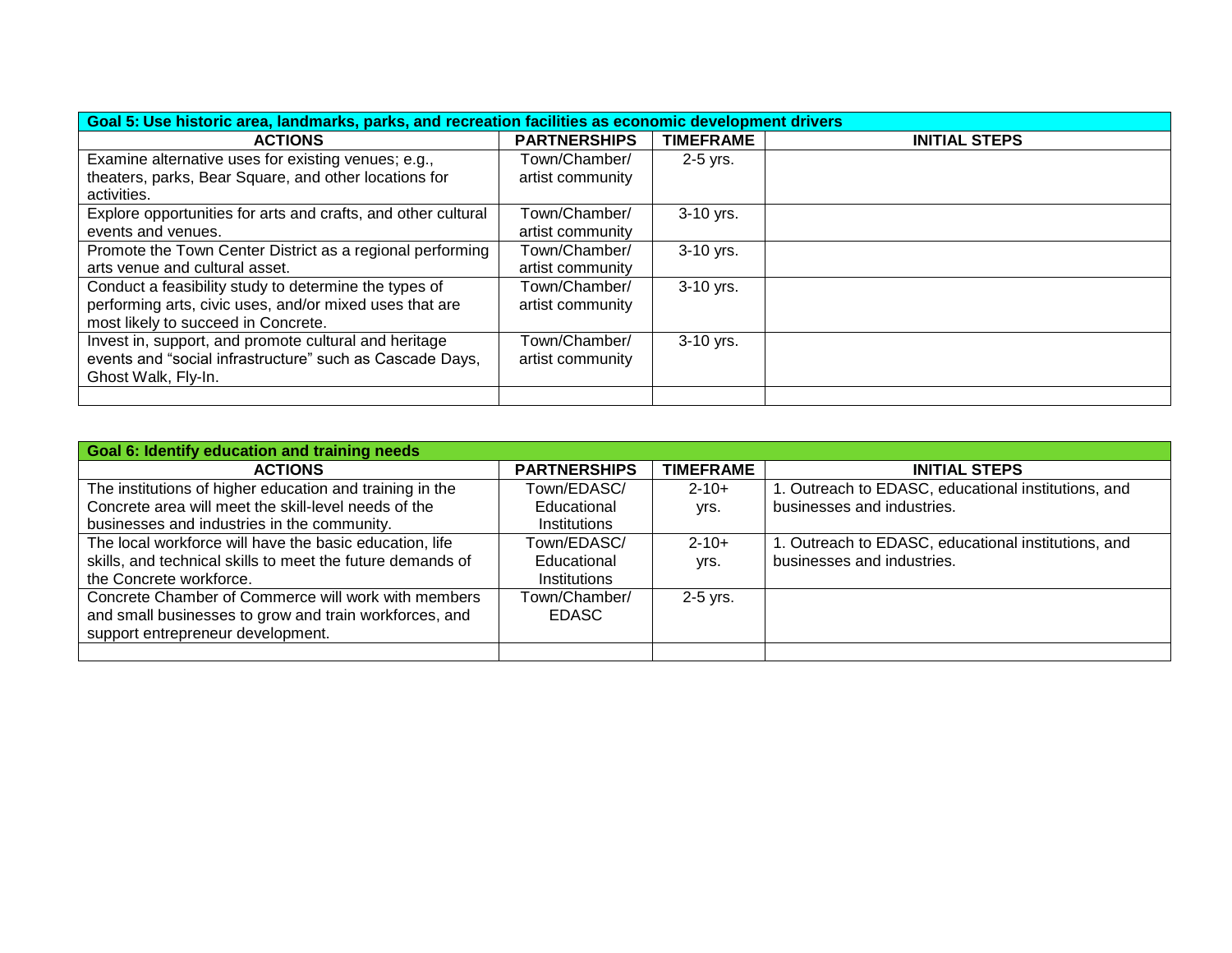| Goal 5: Use historic area, landmarks, parks, and recreation facilities as economic development drivers |                     |                  |                      |
|--------------------------------------------------------------------------------------------------------|---------------------|------------------|----------------------|
| <b>ACTIONS</b>                                                                                         | <b>PARTNERSHIPS</b> | <b>TIMEFRAME</b> | <b>INITIAL STEPS</b> |
| Examine alternative uses for existing venues; e.g.,                                                    | Town/Chamber/       | 2-5 yrs.         |                      |
| theaters, parks, Bear Square, and other locations for                                                  | artist community    |                  |                      |
| activities.                                                                                            |                     |                  |                      |
| Explore opportunities for arts and crafts, and other cultural                                          | Town/Chamber/       | 3-10 yrs.        |                      |
| events and venues.                                                                                     | artist community    |                  |                      |
| Promote the Town Center District as a regional performing                                              | Town/Chamber/       | 3-10 yrs.        |                      |
| arts venue and cultural asset.                                                                         | artist community    |                  |                      |
| Conduct a feasibility study to determine the types of                                                  | Town/Chamber/       | 3-10 yrs.        |                      |
| performing arts, civic uses, and/or mixed uses that are                                                | artist community    |                  |                      |
| most likely to succeed in Concrete.                                                                    |                     |                  |                      |
| Invest in, support, and promote cultural and heritage                                                  | Town/Chamber/       | 3-10 yrs.        |                      |
| events and "social infrastructure" such as Cascade Days,                                               | artist community    |                  |                      |
| Ghost Walk, Fly-In.                                                                                    |                     |                  |                      |
|                                                                                                        |                     |                  |                      |

| <b>Goal 6: Identify education and training needs</b>       |                     |                  |                                                     |
|------------------------------------------------------------|---------------------|------------------|-----------------------------------------------------|
| <b>ACTIONS</b>                                             | <b>PARTNERSHIPS</b> | <b>TIMEFRAME</b> | <b>INITIAL STEPS</b>                                |
| The institutions of higher education and training in the   | Town/EDASC/         | $2 - 10 +$       | 1. Outreach to EDASC, educational institutions, and |
| Concrete area will meet the skill-level needs of the       | Educational         | yrs.             | businesses and industries.                          |
| businesses and industries in the community.                | Institutions        |                  |                                                     |
| The local workforce will have the basic education, life    | Town/EDASC/         | $2 - 10 +$       | 1. Outreach to EDASC, educational institutions, and |
| skills, and technical skills to meet the future demands of | Educational         | yrs.             | businesses and industries.                          |
| the Concrete workforce.                                    | Institutions        |                  |                                                     |
| Concrete Chamber of Commerce will work with members        | Town/Chamber/       | $2-5$ yrs.       |                                                     |
| and small businesses to grow and train workforces, and     | EDASC.              |                  |                                                     |
| support entrepreneur development.                          |                     |                  |                                                     |
|                                                            |                     |                  |                                                     |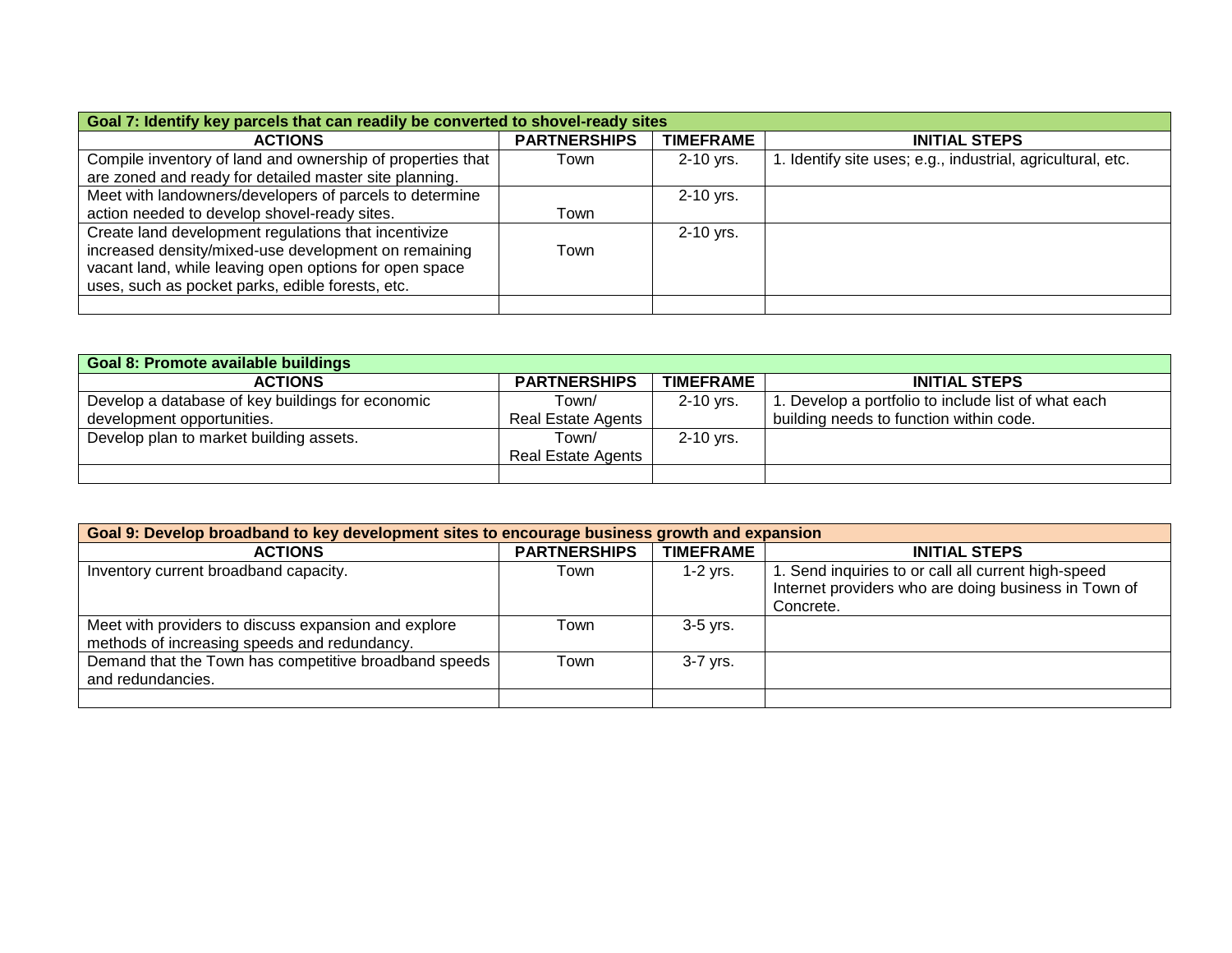| Goal 7: Identify key parcels that can readily be converted to shovel-ready sites |                     |                  |                                                             |
|----------------------------------------------------------------------------------|---------------------|------------------|-------------------------------------------------------------|
| <b>ACTIONS</b>                                                                   | <b>PARTNERSHIPS</b> | <b>TIMEFRAME</b> | <b>INITIAL STEPS</b>                                        |
| Compile inventory of land and ownership of properties that                       | Town                | 2-10 yrs.        | 1. Identify site uses; e.g., industrial, agricultural, etc. |
| are zoned and ready for detailed master site planning.                           |                     |                  |                                                             |
| Meet with landowners/developers of parcels to determine                          |                     | 2-10 yrs.        |                                                             |
| action needed to develop shovel-ready sites.                                     | Town                |                  |                                                             |
| Create land development regulations that incentivize                             |                     | 2-10 yrs.        |                                                             |
| increased density/mixed-use development on remaining                             | Town                |                  |                                                             |
| vacant land, while leaving open options for open space                           |                     |                  |                                                             |
| uses, such as pocket parks, edible forests, etc.                                 |                     |                  |                                                             |
|                                                                                  |                     |                  |                                                             |

| <b>Goal 8: Promote available buildings</b>       |                           |                  |                                                    |  |
|--------------------------------------------------|---------------------------|------------------|----------------------------------------------------|--|
| <b>ACTIONS</b>                                   | <b>PARTNERSHIPS</b>       | <b>TIMEFRAME</b> | <b>INITIAL STEPS</b>                               |  |
| Develop a database of key buildings for economic | Town/                     | 2-10 yrs.        | . Develop a portfolio to include list of what each |  |
| development opportunities.                       | <b>Real Estate Agents</b> |                  | building needs to function within code.            |  |
| Develop plan to market building assets.          | Town/                     | $2-10$ yrs.      |                                                    |  |
|                                                  | Real Estate Agents        |                  |                                                    |  |
|                                                  |                           |                  |                                                    |  |

| Goal 9: Develop broadband to key development sites to encourage business growth and expansion        |                     |                  |                                                                                                                          |
|------------------------------------------------------------------------------------------------------|---------------------|------------------|--------------------------------------------------------------------------------------------------------------------------|
| <b>ACTIONS</b>                                                                                       | <b>PARTNERSHIPS</b> | <b>TIMEFRAME</b> | <b>INITIAL STEPS</b>                                                                                                     |
| Inventory current broadband capacity.                                                                | Town                | $1-2$ yrs.       | I. Send inquiries to or call all current high-speed<br>Internet providers who are doing business in Town of<br>Concrete. |
| Meet with providers to discuss expansion and explore<br>methods of increasing speeds and redundancy. | Town                | $3-5$ yrs.       |                                                                                                                          |
| Demand that the Town has competitive broadband speeds<br>and redundancies.                           | Town                | 3-7 yrs.         |                                                                                                                          |
|                                                                                                      |                     |                  |                                                                                                                          |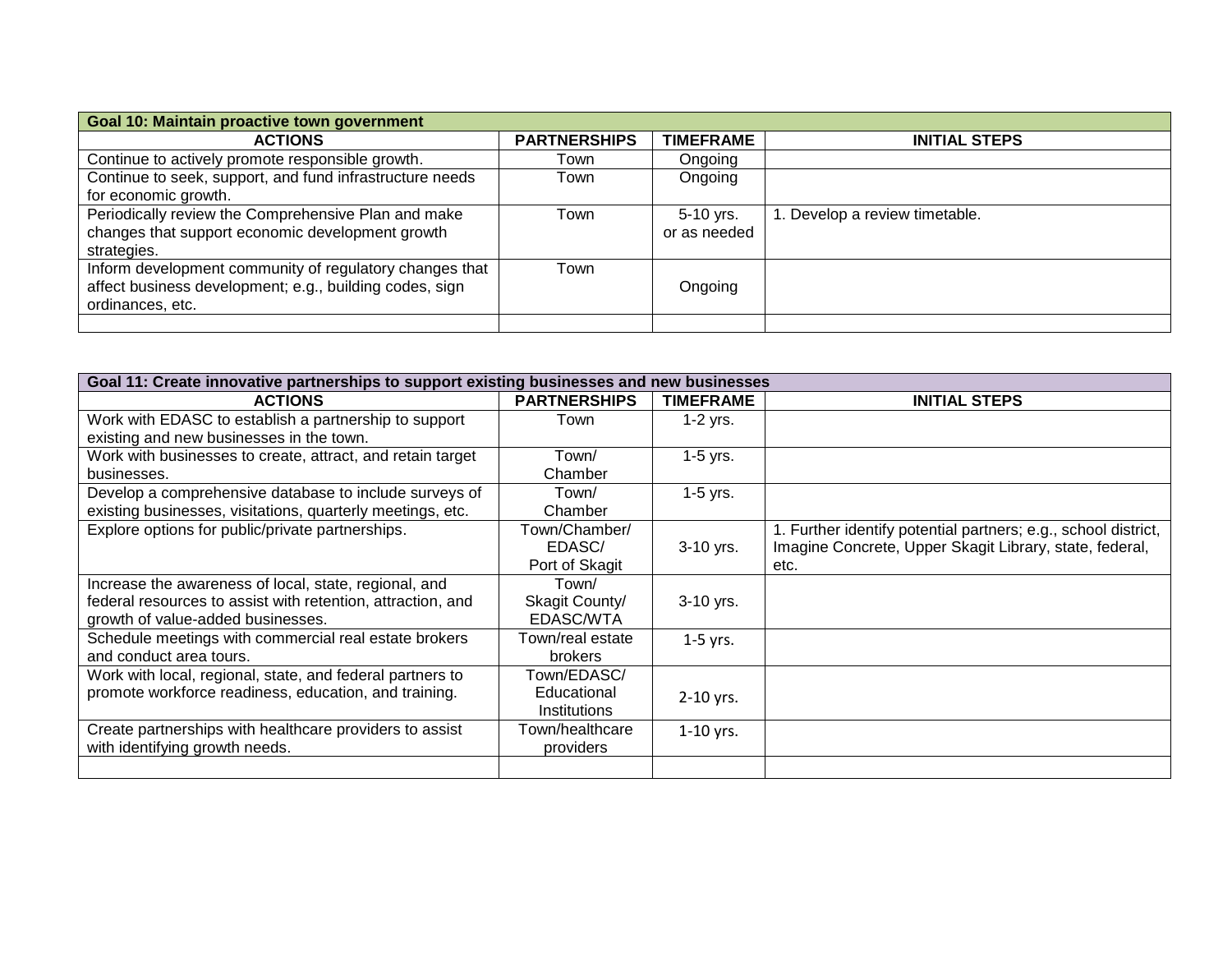| Goal 10: Maintain proactive town government              |                     |                  |                             |
|----------------------------------------------------------|---------------------|------------------|-----------------------------|
| <b>ACTIONS</b>                                           | <b>PARTNERSHIPS</b> | <b>TIMEFRAME</b> | <b>INITIAL STEPS</b>        |
| Continue to actively promote responsible growth.         | Town                | Ongoing          |                             |
| Continue to seek, support, and fund infrastructure needs | Town                | Ongoing          |                             |
| for economic growth.                                     |                     |                  |                             |
| Periodically review the Comprehensive Plan and make      | Town                | 5-10 yrs.        | Develop a review timetable. |
| changes that support economic development growth         |                     | or as needed     |                             |
| strategies.                                              |                     |                  |                             |
| Inform development community of regulatory changes that  | Town                |                  |                             |
| affect business development; e.g., building codes, sign  |                     | Ongoing          |                             |
| ordinances, etc.                                         |                     |                  |                             |
|                                                          |                     |                  |                             |

| Goal 11: Create innovative partnerships to support existing businesses and new businesses |                     |                  |                                                                |
|-------------------------------------------------------------------------------------------|---------------------|------------------|----------------------------------------------------------------|
| <b>ACTIONS</b>                                                                            | <b>PARTNERSHIPS</b> | <b>TIMEFRAME</b> | <b>INITIAL STEPS</b>                                           |
| Work with EDASC to establish a partnership to support                                     | Town                | $1-2$ yrs.       |                                                                |
| existing and new businesses in the town.                                                  |                     |                  |                                                                |
| Work with businesses to create, attract, and retain target                                | Town/               | $1-5$ yrs.       |                                                                |
| businesses.                                                                               | Chamber             |                  |                                                                |
| Develop a comprehensive database to include surveys of                                    | Town/               | $1-5$ yrs.       |                                                                |
| existing businesses, visitations, quarterly meetings, etc.                                | Chamber             |                  |                                                                |
| Explore options for public/private partnerships.                                          | Town/Chamber/       |                  | 1. Further identify potential partners; e.g., school district, |
|                                                                                           | EDASC/              | $3-10$ yrs.      | Imagine Concrete, Upper Skagit Library, state, federal,        |
|                                                                                           | Port of Skagit      |                  | etc.                                                           |
| Increase the awareness of local, state, regional, and                                     | Town/               |                  |                                                                |
| federal resources to assist with retention, attraction, and                               | Skagit County/      | 3-10 yrs.        |                                                                |
| growth of value-added businesses.                                                         | EDASC/WTA           |                  |                                                                |
| Schedule meetings with commercial real estate brokers                                     | Town/real estate    | $1-5$ yrs.       |                                                                |
| and conduct area tours.                                                                   | <b>brokers</b>      |                  |                                                                |
| Work with local, regional, state, and federal partners to                                 | Town/EDASC/         |                  |                                                                |
| promote workforce readiness, education, and training.                                     | Educational         | $2-10$ yrs.      |                                                                |
|                                                                                           | Institutions        |                  |                                                                |
| Create partnerships with healthcare providers to assist                                   | Town/healthcare     | $1-10$ yrs.      |                                                                |
| with identifying growth needs.                                                            | providers           |                  |                                                                |
|                                                                                           |                     |                  |                                                                |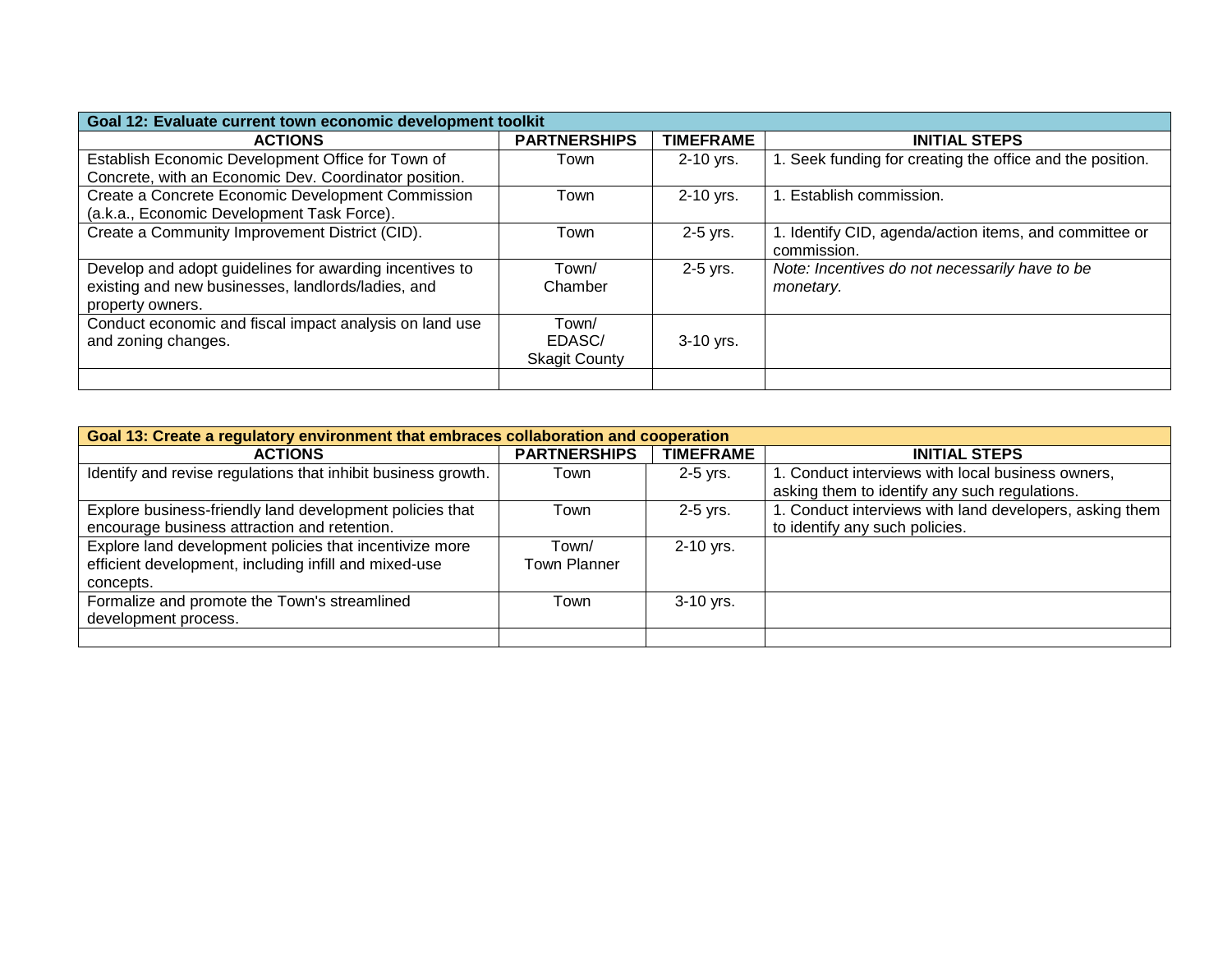| Goal 12: Evaluate current town economic development toolkit |                      |                  |                                                           |
|-------------------------------------------------------------|----------------------|------------------|-----------------------------------------------------------|
| <b>ACTIONS</b>                                              | <b>PARTNERSHIPS</b>  | <b>TIMEFRAME</b> | <b>INITIAL STEPS</b>                                      |
| Establish Economic Development Office for Town of           | Town                 | $2-10$ yrs.      | 1. Seek funding for creating the office and the position. |
| Concrete, with an Economic Dev. Coordinator position.       |                      |                  |                                                           |
| Create a Concrete Economic Development Commission           | Town                 | 2-10 yrs.        | 1. Establish commission.                                  |
| (a.k.a., Economic Development Task Force).                  |                      |                  |                                                           |
| Create a Community Improvement District (CID).              | Town                 | 2-5 yrs.         | 1. Identify CID, agenda/action items, and committee or    |
|                                                             |                      |                  | commission.                                               |
| Develop and adopt guidelines for awarding incentives to     | Town/                | $2-5$ yrs.       | Note: Incentives do not necessarily have to be            |
| existing and new businesses, landlords/ladies, and          | Chamber              |                  | monetary.                                                 |
| property owners.                                            |                      |                  |                                                           |
| Conduct economic and fiscal impact analysis on land use     | Town/                |                  |                                                           |
| and zoning changes.                                         | EDASC/               | 3-10 yrs.        |                                                           |
|                                                             | <b>Skagit County</b> |                  |                                                           |
|                                                             |                      |                  |                                                           |

| Goal 13: Create a regulatory environment that embraces collaboration and cooperation |                     |                  |                                                                                                    |
|--------------------------------------------------------------------------------------|---------------------|------------------|----------------------------------------------------------------------------------------------------|
| <b>ACTIONS</b>                                                                       | <b>PARTNERSHIPS</b> | <b>TIMEFRAME</b> | <b>INITIAL STEPS</b>                                                                               |
| Identify and revise regulations that inhibit business growth.                        | Town                | $2-5$ yrs.       | 1. Conduct interviews with local business owners,<br>asking them to identify any such regulations. |
| Explore business-friendly land development policies that                             | Town                | $2-5$ yrs.       | 1. Conduct interviews with land developers, asking them                                            |
| encourage business attraction and retention.                                         |                     |                  | to identify any such policies.                                                                     |
| Explore land development policies that incentivize more                              | Town/               | $2-10$ yrs.      |                                                                                                    |
| efficient development, including infill and mixed-use                                | Town Planner        |                  |                                                                                                    |
| concepts.                                                                            |                     |                  |                                                                                                    |
| Formalize and promote the Town's streamlined                                         | Town                | $3-10$ yrs.      |                                                                                                    |
| development process.                                                                 |                     |                  |                                                                                                    |
|                                                                                      |                     |                  |                                                                                                    |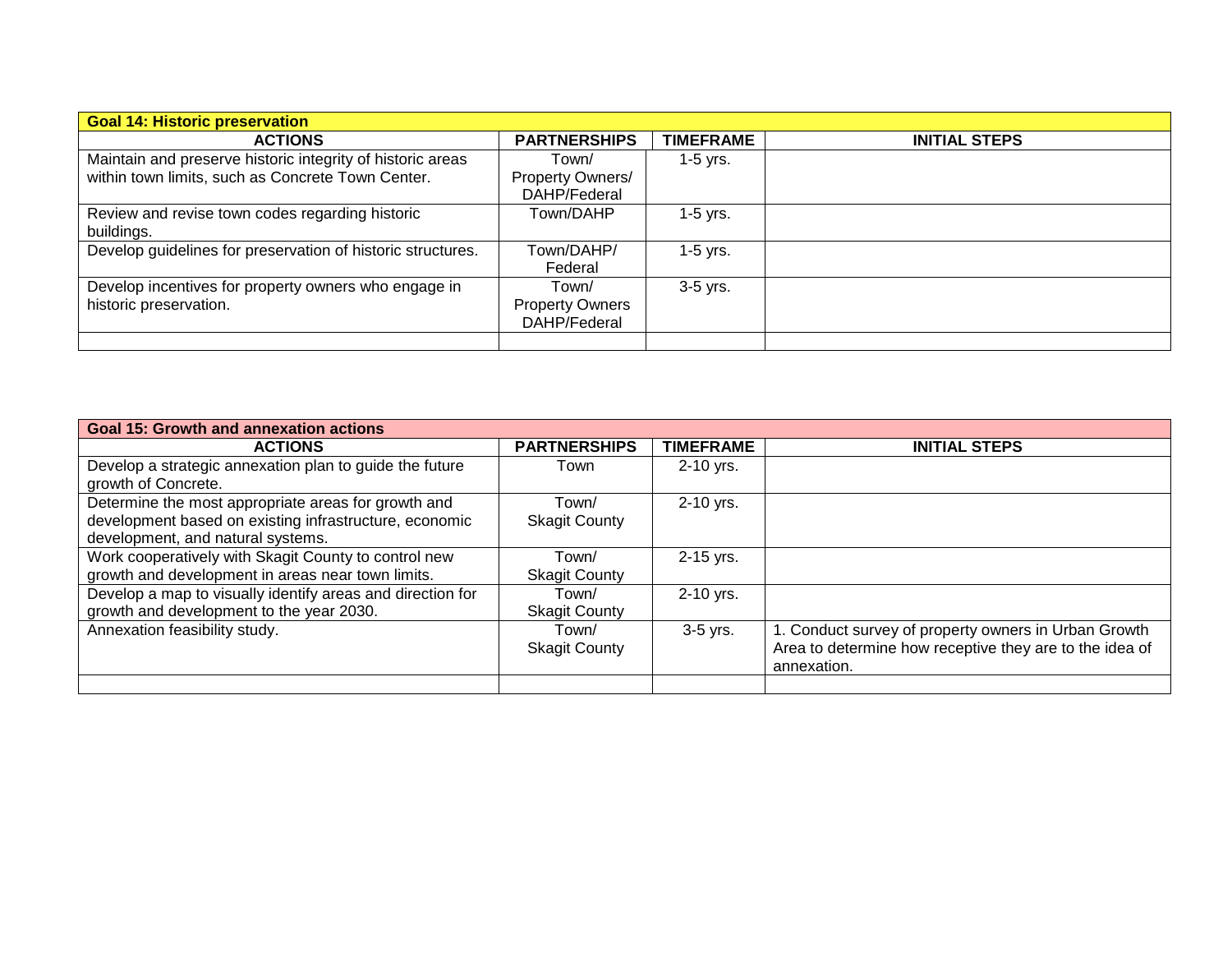| <b>Goal 14: Historic preservation</b>                                          |                                                 |                  |                      |
|--------------------------------------------------------------------------------|-------------------------------------------------|------------------|----------------------|
| <b>ACTIONS</b>                                                                 | <b>PARTNERSHIPS</b>                             | <b>TIMEFRAME</b> | <b>INITIAL STEPS</b> |
| Maintain and preserve historic integrity of historic areas                     | Town/                                           | $1-5$ yrs.       |                      |
| within town limits, such as Concrete Town Center.                              | Property Owners/<br>DAHP/Federal                |                  |                      |
| Review and revise town codes regarding historic<br>buildings.                  | Town/DAHP                                       | $1-5$ yrs.       |                      |
| Develop guidelines for preservation of historic structures.                    | Town/DAHP/<br>Federal                           | $1-5$ yrs.       |                      |
| Develop incentives for property owners who engage in<br>historic preservation. | Town/<br><b>Property Owners</b><br>DAHP/Federal | $3-5$ yrs.       |                      |
|                                                                                |                                                 |                  |                      |

| <b>Goal 15: Growth and annexation actions</b>              |                      |                  |                                                         |
|------------------------------------------------------------|----------------------|------------------|---------------------------------------------------------|
| <b>ACTIONS</b>                                             | <b>PARTNERSHIPS</b>  | <b>TIMEFRAME</b> | <b>INITIAL STEPS</b>                                    |
| Develop a strategic annexation plan to guide the future    | Town                 | $2-10$ yrs.      |                                                         |
| growth of Concrete.                                        |                      |                  |                                                         |
| Determine the most appropriate areas for growth and        | Town/                | 2-10 yrs.        |                                                         |
| development based on existing infrastructure, economic     | <b>Skagit County</b> |                  |                                                         |
| development, and natural systems.                          |                      |                  |                                                         |
| Work cooperatively with Skagit County to control new       | Town/                | 2-15 yrs.        |                                                         |
| growth and development in areas near town limits.          | <b>Skagit County</b> |                  |                                                         |
| Develop a map to visually identify areas and direction for | Town/                | 2-10 yrs.        |                                                         |
| growth and development to the year 2030.                   | <b>Skagit County</b> |                  |                                                         |
| Annexation feasibility study.                              | Town/                | 3-5 yrs.         | 1. Conduct survey of property owners in Urban Growth    |
|                                                            | <b>Skagit County</b> |                  | Area to determine how receptive they are to the idea of |
|                                                            |                      |                  | annexation.                                             |
|                                                            |                      |                  |                                                         |